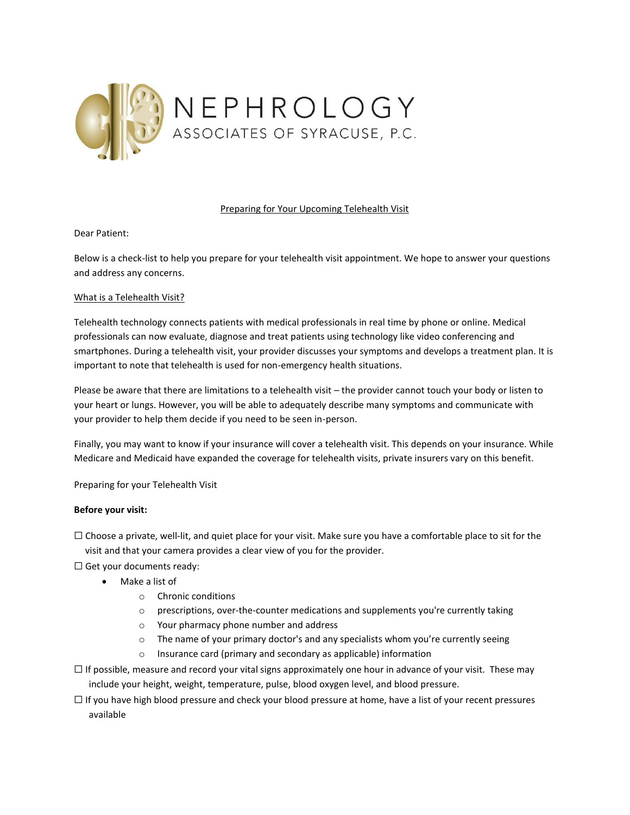

# Preparing for Your Upcoming Telehealth Visit

Dear Patient:

Below is a check-list to help you prepare for your telehealth visit appointment. We hope to answer your questions and address any concerns.

# What is a Telehealth Visit?

Telehealth technology connects patients with medical professionals in real time by phone or online. Medical professionals can now evaluate, diagnose and treat patients using technology like video conferencing and smartphones. During a telehealth visit, your provider discusses your symptoms and develops a treatment plan. It is important to note that telehealth is used for non-emergency health situations.

Please be aware that there are limitations to a telehealth visit – the provider cannot touch your body or listen to your heart or lungs. However, you will be able to adequately describe many symptoms and communicate with your provider to help them decide if you need to be seen in-person.

Finally, you may want to know if your insurance will cover a telehealth visit. This depends on your insurance. While Medicare and Medicaid have expanded the coverage for telehealth visits, private insurers vary on this benefit.

Preparing for your Telehealth Visit

# **Before your visit:**

- ☐ Choose a private, well-lit, and quiet place for your visit. Make sure you have a comfortable place to sit for the visit and that your camera provides a clear view of you for the provider.
- $\Box$  Get your documents ready:
	- Make a list of
		- o Chronic conditions
		- $\circ$  prescriptions, over-the-counter medications and supplements you're currently taking
		- o Your pharmacy phone number and address
		- o The name of your primary doctor's and any specialists whom you're currently seeing
		- o Insurance card (primary and secondary as applicable) information
- $\Box$  If possible, measure and record your vital signs approximately one hour in advance of your visit. These may include your height, weight, temperature, pulse, blood oxygen level, and blood pressure.
- ☐ If you have high blood pressure and check your blood pressure at home, have a list of your recent pressures available